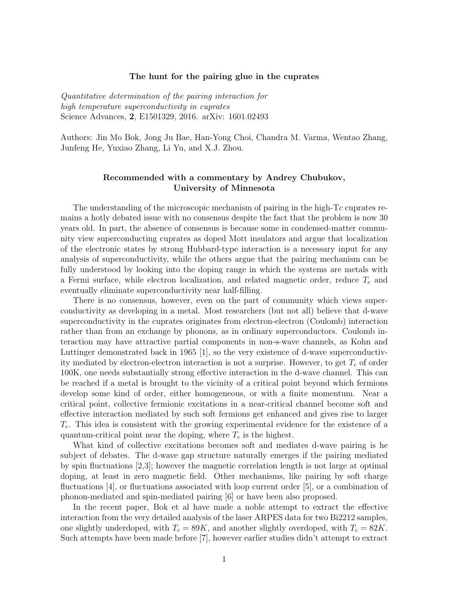## The hunt for the pairing glue in the cuprates

*Quantitative determination of the pairing interaction for high temperature superconductivity in cuprates* Science Advances, 2, E1501329, 2016. arXiv: 1601.02493

Authors: Jin Mo Bok, Jong Ju Bae, Han-Yong Choi, Chandra M. Varma, Wentao Zhang, Junfeng He, Yuxiao Zhang, Li Yu, and X.J. Zhou.

## Recommended with a commentary by Andrey Chubukov, University of Minnesota

The understanding of the microscopic mechanism of pairing in the high-T*c* cuprates remains a hotly debated issue with no consensus despite the fact that the problem is now 30 years old. In part, the absence of consensus is because some in condensed-matter community view superconducting cuprates as doped Mott insulators and argue that localization of the electronic states by strong Hubbard-type interaction is a necessary input for any analysis of superconductivity, while the others argue that the pairing mechanism can be fully understood by looking into the doping range in which the systems are metals with a Fermi surface, while electron localization, and related magnetic order, reduce *T<sup>c</sup>* and eventually eliminate superconductivity near half-filling.

There is no consensus, however, even on the part of community which views superconductivity as developing in a metal. Most researchers (but not all) believe that d-wave superconductivity in the cuprates originates from electron-electron (Coulomb) interaction rather than from an exchange by phonons, as in ordinary superconductors. Coulomb interaction may have attractive partial components in non-s-wave channels, as Kohn and Luttinger demonstrated back in 1965 [1], so the very existence of d-wave superconductivity mediated by electron-electron interaction is not a surprise. However, to get  $T_c$  of order 100K, one needs substantially strong effective interaction in the d-wave channel. This can be reached if a metal is brought to the vicinity of a critical point beyond which fermions develop some kind of order, either homogeneous, or with a finite momentum. Near a critical point, collective fermionic excitations in a near-critical channel become soft and effective interaction mediated by such soft fermions get enhanced and gives rise to larger *Tc*. This idea is consistent with the growing experimental evidence for the existence of a quantum-critical point near the doping, where *T<sup>c</sup>* is the highest.

What kind of collective excitations becomes soft and mediates d-wave pairing is he subject of debates. The d-wave gap structure naturally emerges if the pairing mediated by spin fluctuations [2,3]; however the magnetic correlation length is not large at optimal doping, at least in zero magnetic field. Other mechanisms, like pairing by soft charge fluctuations [4], or fluctuations associated with loop current order [5], or a combination of phonon-mediated and spin-mediated pairing [6] or have been also proposed.

In the recent paper, Bok et al have made a noble attempt to extract the effective interaction from the very detailed analysis of the laser ARPES data for two Bi2212 samples, one slightly underdoped, with  $T_c = 89K$ , and another slightly overdoped, with  $T_c = 82K$ . Such attempts have been made before [7], however earlier studies didn't attempt to extract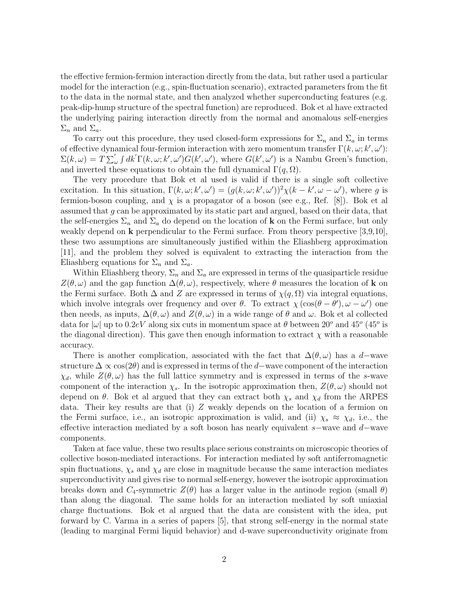the effective fermion-fermion interaction directly from the data, but rather used a particular model for the interaction (e.g., spin-fluctuation scenario), extracted parameters from the fit to the data in the normal state, and then analyzed whether superconducting features (e.g. peak-dip-hump structure of the spectral function) are reproduced. Bok et al have extracted the underlying pairing interaction directly from the normal and anomalous self-energies  $\Sigma_n$  and  $\Sigma_a$ .

To carry out this procedure, they used closed-form expressions for  $\Sigma_n$  and  $\Sigma_a$  in terms of effective dynamical four-fermion interaction with zero momentum transfer  $\Gamma(k,\omega;k',\omega')$ :  $\Sigma(k,\omega) = T \sum'_{\omega} \int dk' \Gamma(k,\omega;k',\omega') G(k',\omega')$ , where  $G(k',\omega')$  is a Nambu Green's function, and inverted these equations to obtain the full dynamical  $\Gamma(q,\Omega)$ .

The very procedure that Bok et al used is valid if there is a single soft collective excitation. In this situation,  $\Gamma(k,\omega;k',\omega') = (g(k,\omega;k',\omega'))^2 \chi(k-k',\omega-\omega')$ , where *g* is fermion-boson coupling, and  $\chi$  is a propagator of a boson (see e.g., Ref. [8]). Bok et all assumed that *g* can be approximated by its static part and argued, based on their data, that the self-energies  $\Sigma_n$  and  $\Sigma_a$  do depend on the location of **k** on the Fermi surface, but only weakly depend on **k** perpendicular to the Fermi surface. From theory perspective [3,9,10], these two assumptions are simultaneously justified within the Eliashberg approximation [11], and the problem they solved is equivalent to extracting the interaction from the Eliashberg equations for  $\Sigma_n$  and  $\Sigma_a$ .

Within Eliashberg theory,  $\Sigma_n$  and  $\Sigma_a$  are expressed in terms of the quasiparticle residue  $Z(\theta,\omega)$  and the gap function  $\Delta(\theta,\omega)$ , respectively, where  $\theta$  measures the location of **k** on the Fermi surface. Both  $\Delta$  and Z are expressed in terms of  $\chi(q, \Omega)$  via integral equations, which involve integrals over frequency and over  $\theta$ . To extract  $\chi (\cos(\theta - \theta'), \omega - \omega')$  one then needs, as inputs,  $\Delta(\theta, \omega)$  and  $Z(\theta, \omega)$  in a wide range of  $\theta$  and  $\omega$ . Bok et al collected data for  $|\omega|$  up to  $0.2eV$  along six cuts in momentum space at  $\theta$  between  $20^{\circ}$  and  $45^{\circ}$  ( $45^{\circ}$  is the diagonal direction). This gave then enough information to extract  $\chi$  with a reasonable accuracy.

There is another complication, associated with the fact that  $\Delta(\theta, \omega)$  has a *d*−wave structure ∆ ∝ cos(2θ) and is expressed in terms of the *d*−wave component of the interaction  $\chi_d$ , while  $Z(\theta,\omega)$  has the full lattice symmetry and is expressed in terms of the *s*-wave component of the interaction  $\chi_s$ . In the isotropic approximation then,  $Z(\theta,\omega)$  should not depend on  $\theta$ . Bok et al argued that they can extract both  $\chi_s$  and  $\chi_d$  from the ARPES data. Their key results are that (i) *Z* weakly depends on the location of a fermion on the Fermi surface, i.e., an isotropic approximation is valid, and (ii)  $\chi_s \approx \chi_d$ , i.e., the effective interaction mediated by a soft boson has nearly equivalent *s*−wave and *d*−wave components.

Taken at face value, these two results place serious constraints on microscopic theories of collective boson-mediated interactions. For interaction mediated by soft antiferromagnetic spin fluctuations,  $\chi_s$  and  $\chi_d$  are close in magnitude because the same interaction mediates superconductivity and gives rise to normal self-energy, however the isotropic approximation breaks down and  $C_4$ -symmetric  $Z(\theta)$  has a larger value in the antinode region (small  $\theta$ ) than along the diagonal. The same holds for an interaction mediated by soft uniaxial charge fluctuations. Bok et al argued that the data are consistent with the idea, put forward by C. Varma in a series of papers [5], that strong self-energy in the normal state (leading to marginal Fermi liquid behavior) and d-wave superconductivity originate from